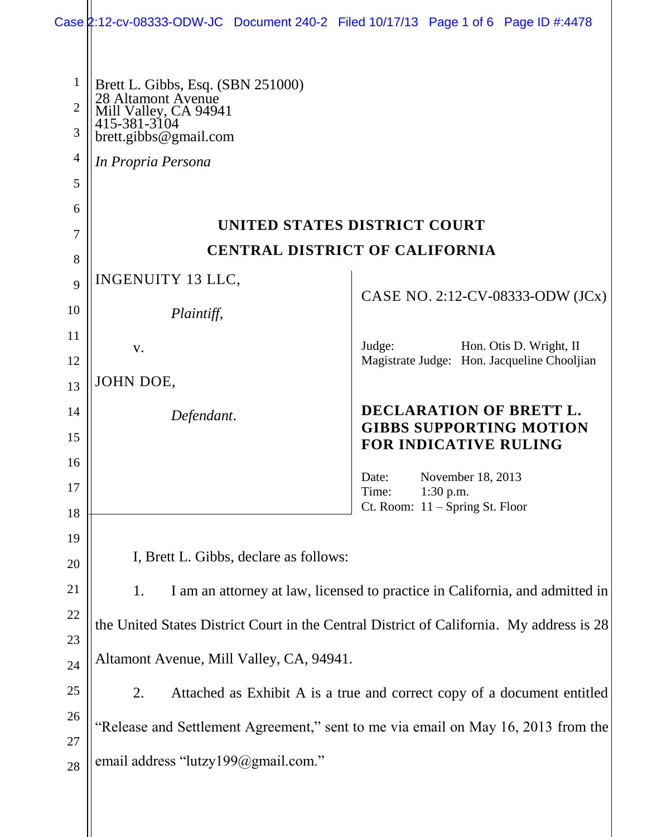|                | Case 2:12-cv-08333-ODW-JC Document 240-2 Filed 10/17/13 Page 1 of 6 Page ID #:4478 |                                                                                          |
|----------------|------------------------------------------------------------------------------------|------------------------------------------------------------------------------------------|
| $\mathbf{1}$   |                                                                                    |                                                                                          |
| $\overline{2}$ | Brett L. Gibbs, Esq. (SBN 251000)<br>28 Altamont Avenue                            |                                                                                          |
| 3              | Mill Valley, CA 94941<br>415-381-3104<br>brett.gibbs@gmail.com                     |                                                                                          |
| 4              | In Propria Persona                                                                 |                                                                                          |
| 5              |                                                                                    |                                                                                          |
| 6              |                                                                                    |                                                                                          |
| 7              | UNITED STATES DISTRICT COURT                                                       |                                                                                          |
| 8              | <b>CENTRAL DISTRICT OF CALIFORNIA</b>                                              |                                                                                          |
| 9              | <b>INGENUITY 13 LLC,</b>                                                           |                                                                                          |
| 10             | Plaintiff,                                                                         | CASE NO. 2:12-CV-08333-ODW (JCx)                                                         |
| 11             |                                                                                    |                                                                                          |
| 12             | V.                                                                                 | Hon. Otis D. Wright, II<br>Judge:<br>Magistrate Judge: Hon. Jacqueline Chooljian         |
| 13             | JOHN DOE,                                                                          |                                                                                          |
| 14             | Defendant.                                                                         | DECLARATION OF BRETT L.                                                                  |
| 15             |                                                                                    | <b>GIBBS SUPPORTING MOTION</b><br>FOR INDICATIVE RULING                                  |
| 16             |                                                                                    |                                                                                          |
| 17             |                                                                                    | November 18, 2013<br>Date:<br>Time:<br>$1:30$ p.m.                                       |
| 18             |                                                                                    | Ct. Room: $11 -$ Spring St. Floor                                                        |
| 19             |                                                                                    |                                                                                          |
| 20             | I, Brett L. Gibbs, declare as follows:                                             |                                                                                          |
|                |                                                                                    |                                                                                          |
| 21             | 1.                                                                                 | I am an attorney at law, licensed to practice in California, and admitted in             |
| 22             |                                                                                    | the United States District Court in the Central District of California. My address is 28 |
| 23             |                                                                                    |                                                                                          |
| 24             | Altamont Avenue, Mill Valley, CA, 94941.                                           |                                                                                          |
| 25             | 2.                                                                                 | Attached as Exhibit A is a true and correct copy of a document entitled                  |
| 26             |                                                                                    | "Release and Settlement Agreement," sent to me via email on May 16, 2013 from the        |
| 27<br>28       | email address "lutzy199@gmail.com."                                                |                                                                                          |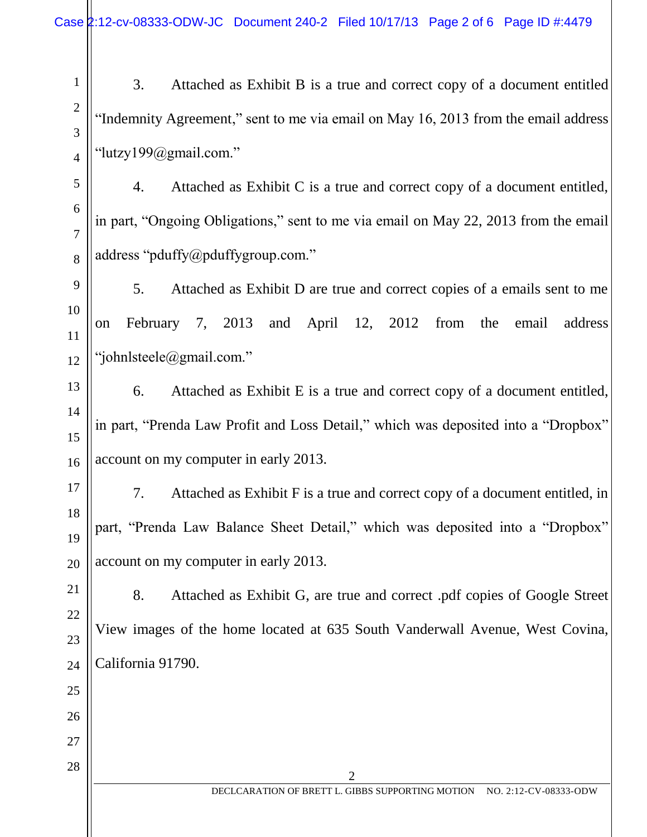3. Attached as Exhibit B is a true and correct copy of a document entitled "Indemnity Agreement," sent to me via email on May 16, 2013 from the email address "lutzy199@gmail.com."

4. Attached as Exhibit C is a true and correct copy of a document entitled, in part, "Ongoing Obligations," sent to me via email on May 22, 2013 from the email address "pduffy@pduffygroup.com."

5. Attached as Exhibit D are true and correct copies of a emails sent to me on February 7, 2013 and April 12, 2012 from the email address "johnlsteele@gmail.com."

6. Attached as Exhibit E is a true and correct copy of a document entitled, in part, "Prenda Law Profit and Loss Detail," which was deposited into a "Dropbox" account on my computer in early 2013.

7. Attached as Exhibit F is a true and correct copy of a document entitled, in part, "Prenda Law Balance Sheet Detail," which was deposited into a "Dropbox" account on my computer in early 2013.

8. Attached as Exhibit G, are true and correct .pdf copies of Google Street View images of the home located at 635 South Vanderwall Avenue, West Covina, California 91790.

2

26

27

28

1

2

3

4

5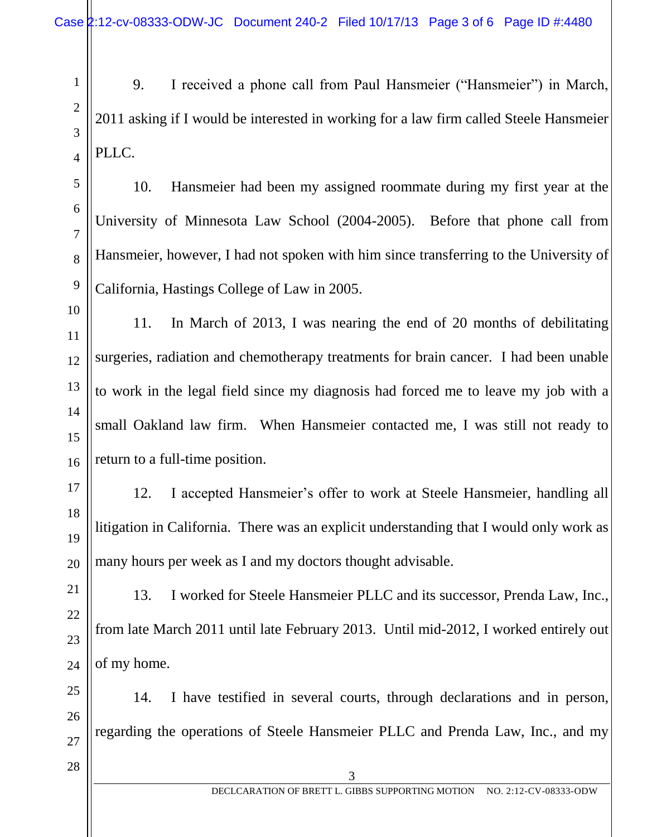9. I received a phone call from Paul Hansmeier ("Hansmeier") in March, 2011 asking if I would be interested in working for a law firm called Steele Hansmeier PLLC.

10. Hansmeier had been my assigned roommate during my first year at the University of Minnesota Law School (2004-2005). Before that phone call from Hansmeier, however, I had not spoken with him since transferring to the University of California, Hastings College of Law in 2005.

11. In March of 2013, I was nearing the end of 20 months of debilitating surgeries, radiation and chemotherapy treatments for brain cancer. I had been unable to work in the legal field since my diagnosis had forced me to leave my job with a small Oakland law firm. When Hansmeier contacted me, I was still not ready to return to a full-time position.

12. I accepted Hansmeier's offer to work at Steele Hansmeier, handling all litigation in California. There was an explicit understanding that I would only work as many hours per week as I and my doctors thought advisable.

13. I worked for Steele Hansmeier PLLC and its successor, Prenda Law, Inc., from late March 2011 until late February 2013. Until mid-2012, I worked entirely out of my home.

25 26 14. I have testified in several courts, through declarations and in person, regarding the operations of Steele Hansmeier PLLC and Prenda Law, Inc., and my

27 28

1

2

3

4

5

6

7

8

9

10

11

12

13

14

15

16

17

18

19

20

21

22

23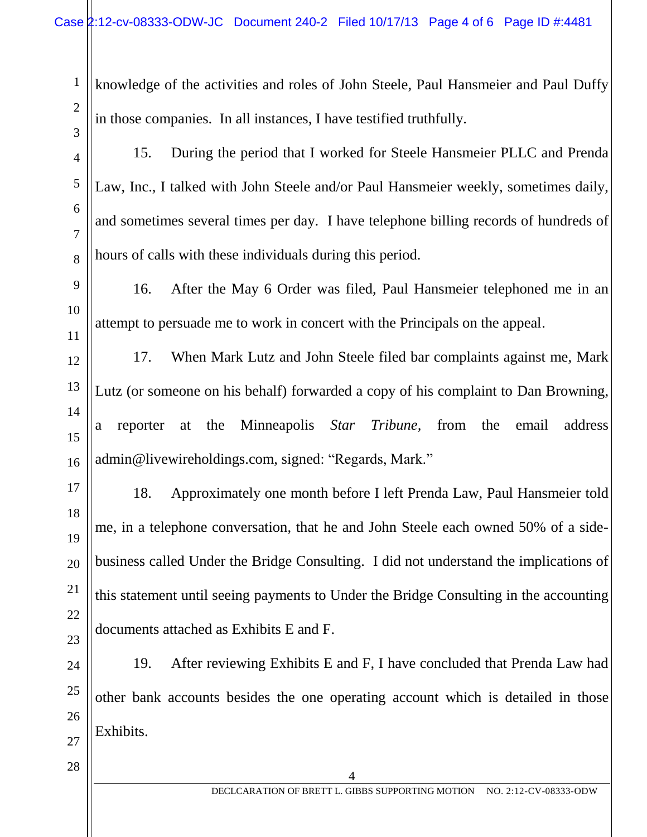knowledge of the activities and roles of John Steele, Paul Hansmeier and Paul Duffy in those companies. In all instances, I have testified truthfully.

15. During the period that I worked for Steele Hansmeier PLLC and Prenda Law, Inc., I talked with John Steele and/or Paul Hansmeier weekly, sometimes daily, and sometimes several times per day. I have telephone billing records of hundreds of hours of calls with these individuals during this period.

16. After the May 6 Order was filed, Paul Hansmeier telephoned me in an attempt to persuade me to work in concert with the Principals on the appeal.

17. When Mark Lutz and John Steele filed bar complaints against me, Mark Lutz (or someone on his behalf) forwarded a copy of his complaint to Dan Browning, a reporter at the Minneapolis *Star Tribune,* from the email address [admin@livewireholdings.com,](mailto:admin@livewireholdings.com) signed: "Regards, Mark."

18. Approximately one month before I left Prenda Law, Paul Hansmeier told me, in a telephone conversation, that he and John Steele each owned 50% of a sidebusiness called Under the Bridge Consulting. I did not understand the implications of this statement until seeing payments to Under the Bridge Consulting in the accounting documents attached as Exhibits E and F.

24 19. After reviewing Exhibits E and F, I have concluded that Prenda Law had other bank accounts besides the one operating account which is detailed in those Exhibits.

4

1

2

3

4

5

6

7

8

9

10

11

12

13

14

15

16

17

18

19

20

21

22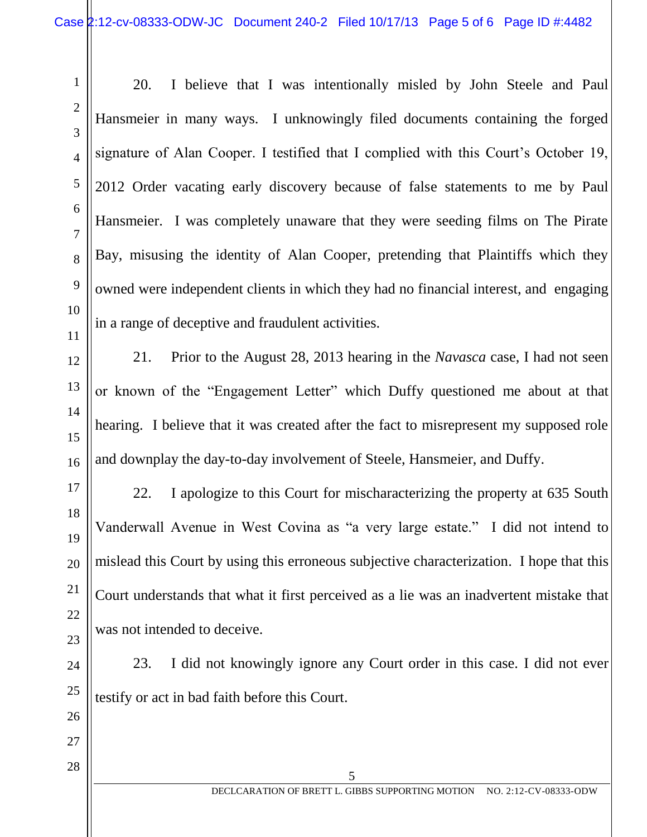20. I believe that I was intentionally misled by John Steele and Paul Hansmeier in many ways. I unknowingly filed documents containing the forged signature of Alan Cooper. I testified that I complied with this Court's October 19, 2012 Order vacating early discovery because of false statements to me by Paul Hansmeier. I was completely unaware that they were seeding films on The Pirate Bay, misusing the identity of Alan Cooper, pretending that Plaintiffs which they owned were independent clients in which they had no financial interest, and engaging in a range of deceptive and fraudulent activities.

21. Prior to the August 28, 2013 hearing in the *Navasca* case, I had not seen or known of the "Engagement Letter" which Duffy questioned me about at that hearing. I believe that it was created after the fact to misrepresent my supposed role and downplay the day-to-day involvement of Steele, Hansmeier, and Duffy.

22. I apologize to this Court for mischaracterizing the property at 635 South Vanderwall Avenue in West Covina as "a very large estate." I did not intend to mislead this Court by using this erroneous subjective characterization. I hope that this Court understands that what it first perceived as a lie was an inadvertent mistake that was not intended to deceive.

23. I did not knowingly ignore any Court order in this case. I did not ever testify or act in bad faith before this Court.

5

28

1

2

3

4

5

6

7

8

9

10

11

12

13

14

15

16

17

18

19

20

21

22

23

24

25

26